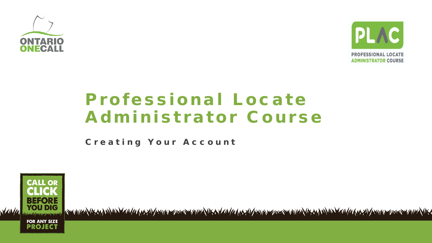



# Professional Locate **Administrator Course**

Creating Your Account



ENDING VERANDEN VAN MAASTE VERMEN ZEEE VINDEN IS AVAN MAASTE VERMEN ZEEE VINDEN IS AANDEN VAN MAASTE VERMEN ZEEE VINDEN IS A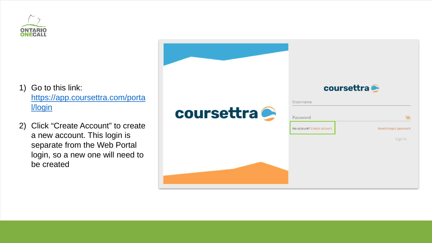

- 1) Go to this link: [https://app.coursettra.com/porta](https://app.coursettra.com/portal/login) l/login
- 2) Click "Create Account" to create a new account. This login is separate from the Web Portal login, so a new one will need to be created

|                   | coursettra                 |                       |  |  |  |  |  |
|-------------------|----------------------------|-----------------------|--|--|--|--|--|
|                   | Username                   |                       |  |  |  |  |  |
| <b>coursettra</b> | Password                   |                       |  |  |  |  |  |
|                   | No account? Create account | Reset/Forgot password |  |  |  |  |  |
|                   |                            | Sign In               |  |  |  |  |  |
|                   |                            |                       |  |  |  |  |  |
|                   |                            |                       |  |  |  |  |  |
|                   |                            |                       |  |  |  |  |  |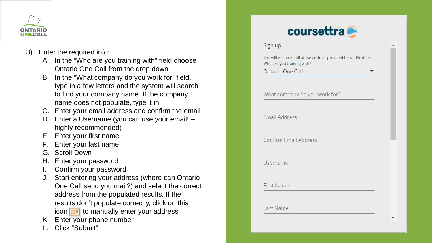

- 3) Enter the required info:
	- A. In the "Who are you training with" field choose Ontario One Call from the drop down
	- B. In the "What company do you work for" field, type in a few letters and the system will search to find your company name. If the company name does not populate, type it in
	- C. Enter your email address and confirm the email
	- D. Enter a Username (you can use your email! highly recommended)
	- E. Enter your first name
	- F. Enter your last name
	- G. Scroll Down
	- H. Enter your password
	- I. Confirm your password
	- J. Start entering your address (where can Ontario One Call send you mail?) and select the correct address from the populated results. If the results don't populate correctly, click on this icon  $\sqrt{2\pi}$  to manually enter your address
	- K. Enter your phone number
	- Click "Submit"

| Sign up                                                                                       |  |
|-----------------------------------------------------------------------------------------------|--|
| You will get an email at the address provided for verification.<br>Who are you training with? |  |
| Ontario One Call                                                                              |  |
|                                                                                               |  |
| What company do you work for?                                                                 |  |
|                                                                                               |  |
| Email Address                                                                                 |  |
| Confirm Email Address                                                                         |  |
|                                                                                               |  |
| Username                                                                                      |  |
| <b>First Name</b>                                                                             |  |
|                                                                                               |  |
|                                                                                               |  |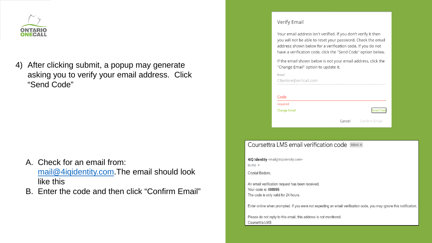

After clicking submit, a popup may generate 4) asking you to verify your email address. Click "Send Code"

- A. Check for an email from: mail@4iqidentity.com.The email should look like this
- B. Enter the code and then click "Confirm Email"

#### Verify Email

Your email address isn't verified. If you don't verify it then you will not be able to reset your password. Check the email address shown below for a verification code. If you do not have a verification code, click the "Send Code" option below.

If the email shown below is not your email address, click the "Change Email" option to update it.

| Email               |                             |
|---------------------|-----------------------------|
| CBedore@on1call.com |                             |
|                     |                             |
|                     |                             |
| Code                |                             |
| required            |                             |
| <b>Change Email</b> | <b>Send Code</b>            |
|                     |                             |
|                     | <b>Cancel</b> Confirm Email |
|                     |                             |

#### Coursettra LMS email verification code [Inbox x]

4iQ Identity <mail@4iqidentity.com> to me  $\sqrt{ }$ 

Crystal Bedore,

An email verification request has been received. Your code is: 098895 The code is only valid for 24 hours.

Enter online when prompted. If you were not expecting an email verification code, you may ignore this notification.

Please do not reply to this email; this address is not monitored. Coursettra LMS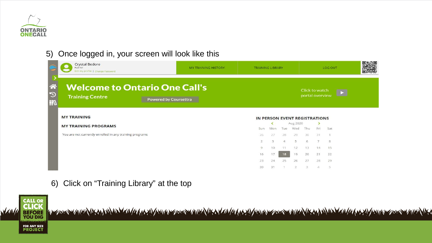

### 5) Once logged in, your screen will look like this

|                                      | <b>Crystal Bedore</b><br>P23161<br>Edit my profile   Change Password                           | <b>MY TRAINING HISTORY</b>        | <b>TRAINING LIBRARY</b>       |          |                |                 | LOG OUT |                | 興婦県 |  |  |
|--------------------------------------|------------------------------------------------------------------------------------------------|-----------------------------------|-------------------------------|----------|----------------|-----------------|---------|----------------|-----|--|--|
| <mark>क़</mark><br>$\mathbb{C}$<br>7 | <b>Welcome to Ontario One Call's</b><br><b>Training Centre</b><br><b>Powered by Coursettra</b> | Click to watch<br>portal overview |                               |          |                |                 |         |                |     |  |  |
|                                      | <b>MY TRAINING</b>                                                                             |                                   | IN PERSON EVENT REGISTRATIONS |          |                |                 |         |                |     |  |  |
|                                      | <b>MY TRAINING PROGRAMS</b>                                                                    |                                   | Sun                           | ≺<br>Mon | Tue            | Aug 2020<br>Wed | Thu     | ><br>Fri       | Sat |  |  |
|                                      | You are not currently enrolled in any training programs                                        |                                   | 26                            | 27       | 28             | 29              | 30      | 31             |     |  |  |
|                                      |                                                                                                |                                   | $\mathbf{2}$                  | 3        | $\overline{4}$ | $\mathfrak{s}$  | 6       | $\overline{J}$ | 8   |  |  |
|                                      |                                                                                                |                                   | 9                             | 10       | $-1.1$         | 12              | 13      | 14             | 15  |  |  |
|                                      |                                                                                                |                                   | 16                            | 17       | 18             | 19              | 20      | 21             | 22  |  |  |
|                                      |                                                                                                |                                   | 23                            | 24       | 25             | 26              | 27      | 28             | 29  |  |  |
|                                      |                                                                                                |                                   | 30                            | 31       |                | -2              | 3.      | $\Delta$       | 5   |  |  |

6) Click on "Training Library" at the top



<u>TELEVISION AND TELEVISION AND TELEVISION AND TELEVISION AND TELEVISION AND TELEVISION AND TELEVISION AND TELEVISION</u>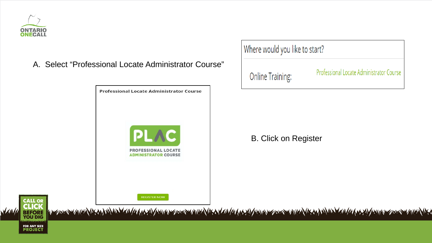

A. Select "Professional Locate Administrator Course"



Where would you like to start?

**Online Training:** 

**Professional Locate Administrator Course** 

B. Click on Register



<u>massas muusiikii isiinii maana maanamma assas muusiikii maanaanamma assas muusiikii joi maanaanamma assas muusiiki</u>